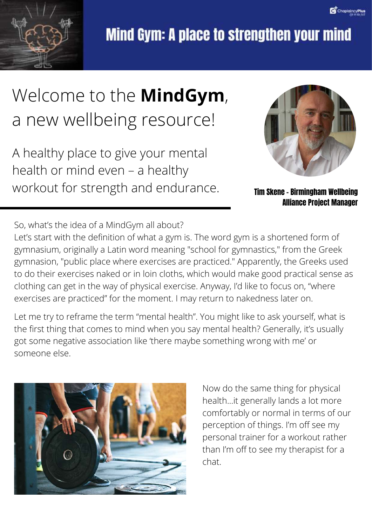

## Welcome to the **MindGym**, a new wellbeing resource!

A healthy place to give your mental health or mind even – a healthy workout for strength and endurance. Tim Skene - Birmingham Wellbeing



Alliance Project Manager

So, what's the idea of a MindGym all about?

Let's start with the definition of what a gym is. The word gym is a shortened form of gymnasium, originally a Latin word meaning "school for gymnastics," from the Greek gymnasion, "public place where exercises are practiced." Apparently, the Greeks used to do their exercises naked or in loin cloths, which would make good practical sense as clothing can get in the way of physical exercise. Anyway, I'd like to focus on, "where exercises are practiced" for the moment. I may return to nakedness later on.

Let me try to reframe the term "mental health". You might like to ask yourself, what is the first thing that comes to mind when you say mental health? Generally, it's usually got some negative association like 'there maybe something wrong with me' or someone else.



Now do the same thing for physical health...it generally lands a lot more comfortably or normal in terms of our perception of things. I'm off see my personal trainer for a workout rather than I'm off to see my therapist for a chat.